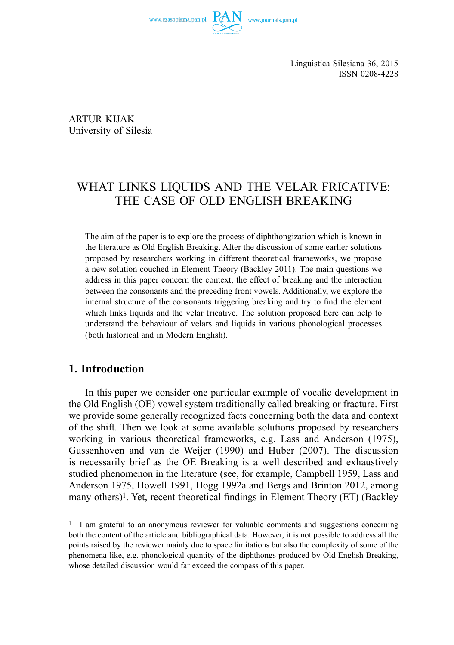www.czasopisma.pan.pl

Linguistica Silesiana 36, 2015 ISSN 0208-4228

 ARTUR KIJAK University of Silesia

# WHAT LINKS LIQUIDS AND THE VELAR FRICATIVE: THE CASE OF OLD ENGLISH BREAKING

The aim of the paper is to explore the process of diphthongization which is known in the literature as Old English Breaking. After the discussion of some earlier solutions proposed by researchers working in different theoretical frameworks, we propose a new solution couched in Element Theory (Backley 2011). The main questions we address in this paper concern the context, the effect of breaking and the interaction between the consonants and the preceding front vowels. Additionally, we explore the internal structure of the consonants triggering breaking and try to find the element which links liquids and the velar fricative. The solution proposed here can help to understand the behaviour of velars and liquids in various phonological processes (both historical and in Modern English).

## **1. Introduction**

In this paper we consider one particular example of vocalic development in the Old English (OE) vowel system traditionally called breaking or fracture. First we provide some generally recognized facts concerning both the data and context of the shift. Then we look at some available solutions proposed by researchers working in various theoretical frameworks, e.g. Lass and Anderson (1975), Gussenhoven and van de Weijer (1990) and Huber (2007). The discussion is necessarily brief as the OE Breaking is a well described and exhaustively studied phenomenon in the literature (see, for example, Campbell 1959, Lass and Anderson 1975, Howell 1991, Hogg 1992a and Bergs and Brinton 2012, among many others)<sup>1</sup>. Yet, recent theoretical findings in Element Theory (ET) (Backley

<sup>1</sup> I am grateful to an anonymous reviewer for valuable comments and suggestions concerning both the content of the article and bibliographical data. However, it is not possible to address all the points raised by the reviewer mainly due to space limitations but also the complexity of some of the phenomena like, e.g. phonological quantity of the diphthongs produced by Old English Breaking, whose detailed discussion would far exceed the compass of this paper.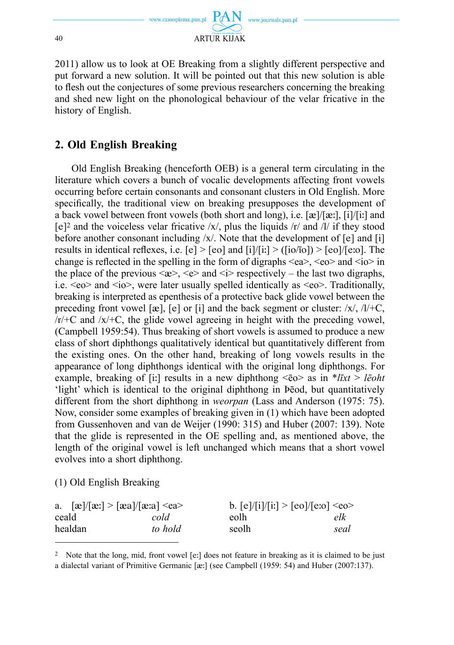

2011) allow us to look at OE Breaking from a slightly different perspective and put forward a new solution. It will be pointed out that this new solution is able to flesh out the conjectures of some previous researchers concerning the breaking and shed new light on the phonological behaviour of the velar fricative in the history of English.

# **2. Old English Breaking**

Old English Breaking (henceforth OEB) is a general term circulating in the literature which covers a bunch of vocalic developments affecting front vowels occurring before certain consonants and consonant clusters in Old English. More specifically, the traditional view on breaking presupposes the development of a back vowel between front vowels (both short and long), i.e.  $[\mathbf{a}]/[\mathbf{a}x]$ ,  $[i]/[i!]$  and  $[e]^2$  and the voiceless velar fricative /x/, plus the liquids /r/ and /l/ if they stood before another consonant including  $/x/$ . Note that the development of  $[e]$  and  $[i]$ results in identical reflexes, i.e.  $[e] > [eo]$  and  $[i]/[i!] > ([io/io]) > [eo]/[eo]$ . The change is reflected in the spelling in the form of digraphs  $\langle ea \rangle$ ,  $\langle eo \rangle$  and  $\langle io \rangle$  in the place of the previous  $\langle x \rangle$ ,  $\langle e \rangle$  and  $\langle i \rangle$  respectively – the last two digraphs, i.e.  $\langle$ eo $>$  and  $\langle$ io $>$ , were later usually spelled identically as  $\langle$ eo $>$ . Traditionally, breaking is interpreted as epenthesis of a protective back glide vowel between the preceding front vowel [ $\infty$ ], [e] or [i] and the back segment or cluster: /x/, /l/+C,  $/r$  + C and  $/x$  + C, the glide vowel agreeing in height with the preceding vowel, (Campbell 1959:54). Thus breaking of short vowels is assumed to produce a new class of short diphthongs qualitatively identical but quantitatively different from the existing ones. On the other hand, breaking of long vowels results in the appearance of long diphthongs identical with the original long diphthongs. For example, breaking of [i:] results in a new diphthong  $\langle \overline{e} \overline{o} \rangle$  as in  $\overline{t}$ *lixt* > *lēoht* 'light' which is identical to the original diphthong in Þēod, but quantitatively different from the short diphthong in *weorpan* (Lass and Anderson (1975: 75). Now, consider some examples of breaking given in (1) which have been adopted from Gussenhoven and van de Weijer (1990: 315) and Huber (2007: 139). Note that the glide is represented in the OE spelling and, as mentioned above, the length of the original vowel is left unchanged which means that a short vowel evolves into a short diphthong.

### (1) Old English Breaking

| a. $[\mathbf{x}]/[\mathbf{x}] > [\mathbf{x} \cdot \mathbf{a}]/[\mathbf{x} \cdot \mathbf{a}] < \mathbf{e} \cdot \mathbf{a}$ |         | b. $[e]/[i]/[i!] > [eo]/[eo] < ee$ |      |
|----------------------------------------------------------------------------------------------------------------------------|---------|------------------------------------|------|
| ceald                                                                                                                      | cold    | eolh                               | elk  |
| healdan                                                                                                                    | to hold | seolh                              | seal |

<sup>&</sup>lt;sup>2</sup> Note that the long, mid, front vowel [e:] does not feature in breaking as it is claimed to be just a dialectal variant of Primitive Germanic [ $\alpha$ :] (see Campbell (1959: 54) and Huber (2007:137).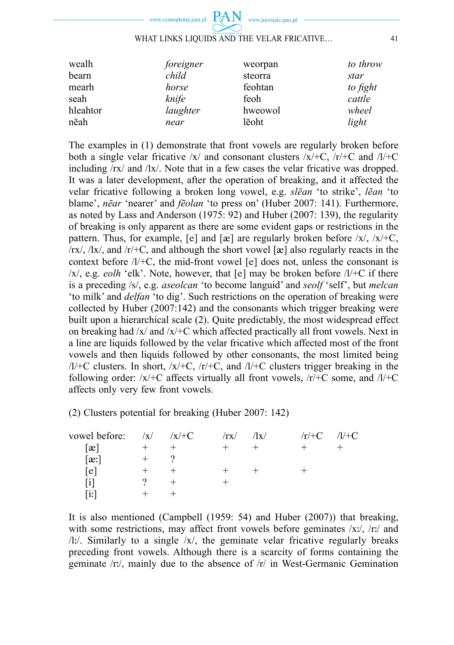### WHAT LINKS LIQUIDS AND THE VELAR FRICATIVE… 41

| wealh    | foreigner | weorpan | to throw |
|----------|-----------|---------|----------|
| bearn    | child     | steorra | star     |
| mearh    | horse     | feohtan | to fight |
| seah     | knife     | feoh    | cattle   |
| hleahtor | laughter  | hweowol | wheel    |
| nēah     | near      | lēoht   | light    |

The examples in (1) demonstrate that front vowels are regularly broken before both a single velar fricative  $/x/$  and consonant clusters  $/x/$ +C,  $/r$ +C and  $/l$ +C including  $/rx/$  and  $/lx/$ . Note that in a few cases the velar fricative was dropped. It was a later development, after the operation of breaking, and it affected the velar fricative following a broken long vowel, e.g. *slēan* 'to strike', *lēan* 'to blame', *nēar* 'nearer' and *fēolan* 'to press on' (Huber 2007: 141). Furthermore, as noted by Lass and Anderson (1975: 92) and Huber (2007: 139), the regularity of breaking is only apparent as there are some evident gaps or restrictions in the pattern. Thus, for example, [e] and [æ] are regularly broken before  $/x/$ ,  $/x/$ +C,  $/\text{rx}/$ ,  $/\text{tx}/$ , and  $/\text{r}/+C$ , and although the short vowel [ $\text{æ}$ ] also regularly reacts in the context before  $/l$ +C, the mid-front vowel [e] does not, unless the consonant is  $\frac{1}{x}$ , e.g. *eolh* 'elk'. Note, however, that [e] may be broken before  $\frac{1}{+C}$  if there is a preceding /s/, e.g. *aseolcan* 'to become languid' and *seolf* 'self', but *melcan* 'to milk' and *delfan* 'to dig'. Such restrictions on the operation of breaking were collected by Huber (2007:142) and the consonants which trigger breaking were built upon a hierarchical scale (2). Quite predictably, the most widespread effect on breaking had  $/x$  and  $/x$ +C which affected practically all front vowels. Next in a line are liquids followed by the velar fricative which affected most of the front vowels and then liquids followed by other consonants, the most limited being  $/1/$ +C clusters. In short,  $/x$ /+C,  $/r$ /+C, and  $/1/$ +C clusters trigger breaking in the following order:  $/x$  + C affects virtually all front vowels,  $/r$  + C some, and  $/l$  + C affects only very few front vowels.

(2) Clusters potential for breaking (Huber 2007: 142)

| vowel before:             | X | $\sqrt{x}/+C$ | $\sqrt{r}$ X $\sqrt{r}$ | $\rm{d}x/$ | $/r$ /+C | $/$ l $/$ +C |
|---------------------------|---|---------------|-------------------------|------------|----------|--------------|
| $\lceil x \rceil$         |   |               |                         |            |          |              |
| $[\mathbf{a} \mathbf{b}]$ |   |               |                         |            |          |              |
| [e]                       |   |               |                         |            |          |              |
| Γi1                       |   |               |                         |            |          |              |
| [iː]                      |   |               |                         |            |          |              |

It is also mentioned (Campbell (1959: 54) and Huber (2007)) that breaking, with some restrictions, may affect front vowels before geminates  $/x$ ,  $/r$ , and  $/1$ :/. Similarly to a single  $/x/$ , the geminate velar fricative regularly breaks preceding front vowels. Although there is a scarcity of forms containing the geminate  $/r$ , mainly due to the absence of  $/r/$  in West-Germanic Gemination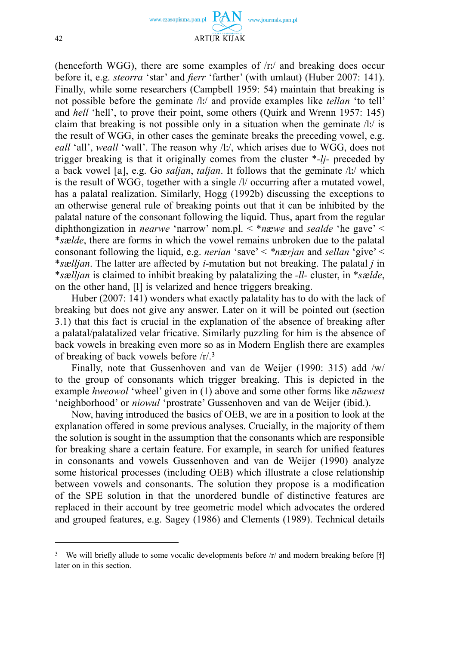

### 42 ARTUR KIJAK

(henceforth WGG), there are some examples of  $\pi$  and breaking does occur before it, e.g. *steorra* 'star' and *fierr* 'farther' (with umlaut) (Huber 2007: 141). Finally, while some researchers (Campbell 1959: 54) maintain that breaking is not possible before the geminate /l:/ and provide examples like *tellan* 'to tell' and *hell* 'hell', to prove their point, some others (Quirk and Wrenn 1957: 145) claim that breaking is not possible only in a situation when the geminate  $\Lambda$ :/ is the result of WGG, in other cases the geminate breaks the preceding vowel, e.g. *eall* 'all', *weall* 'wall'. The reason why /l:/, which arises due to WGG, does not trigger breaking is that it originally comes from the cluster \**-lj-* preceded by a back vowel [a], e.g. Go *saljan, taljan*. It follows that the geminate /l:/ which is the result of WGG, together with a single // occurring after a mutated vowel, has a palatal realization. Similarly, Hogg (1992b) discussing the exceptions to an otherwise general rule of breaking points out that it can be inhibited by the palatal nature of the consonant following the liquid. Thus, apart from the regular diphthongization in *nearwe* 'narrow' nom.pl. < \**n*æ*we* and *sealde* 'he gave' < \**s*æ*lde*, there are forms in which the vowel remains unbroken due to the palatal consonant following the liquid, e.g. *nerian* 'save' < *\*n*æ*rjan* and *sellan* 'give' < \**s*æ*lljan*. The latter are affected by *i*-mutation but not breaking. The palatal *j* in \**s*æ*lljan* is claimed to inhibit breaking by palatalizing the *-ll-* cluster, in \**s*æ*lde*, on the other hand, [1] is velarized and hence triggers breaking.

Huber (2007: 141) wonders what exactly palatality has to do with the lack of breaking but does not give any answer. Later on it will be pointed out (section 3.1) that this fact is crucial in the explanation of the absence of breaking after a palatal/palatalized velar fricative. Similarly puzzling for him is the absence of back vowels in breaking even more so as in Modern English there are examples of breaking of back vowels before  $/r/3$ 

Finally, note that Gussenhoven and van de Weijer (1990: 315) add /w/ to the group of consonants which trigger breaking. This is depicted in the example *hweowol* 'wheel' given in (1) above and some other forms like *nēawest* 'neighborhood' or *niowul* 'prostrate' Gussenhoven and van de Weijer (ibid.).

Now, having introduced the basics of OEB, we are in a position to look at the explanation offered in some previous analyses. Crucially, in the majority of them the solution is sought in the assumption that the consonants which are responsible for breaking share a certain feature. For example, in search for unified features in consonants and vowels Gussenhoven and van de Weijer (1990) analyze some historical processes (including OEB) which illustrate a close relationship between vowels and consonants. The solution they propose is a modification of the SPE solution in that the unordered bundle of distinctive features are replaced in their account by tree geometric model which advocates the ordered and grouped features, e.g. Sagey (1986) and Clements (1989). Technical details

<sup>&</sup>lt;sup>3</sup> We will briefly allude to some vocalic developments before  $/r/d$  and modern breaking before [1] later on in this section.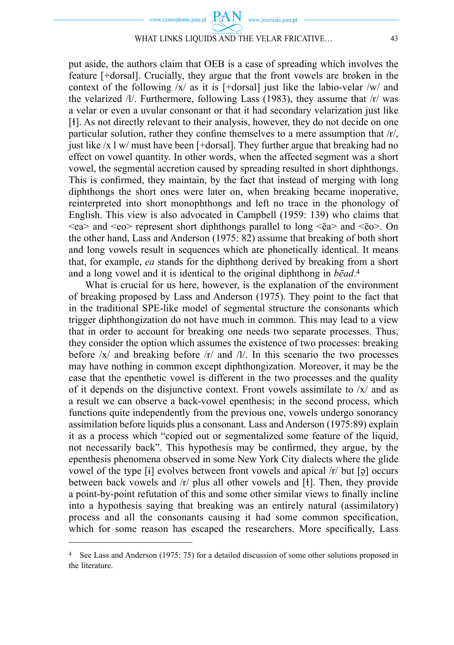

#### WHAT LINKS LIQUIDS AND THE VELAR FRICATIVE… 43

put aside, the authors claim that OEB is a case of spreading which involves the feature [+dorsal]. Crucially, they argue that the front vowels are broken in the context of the following  $/x/$  as it is [+dorsal] just like the labio-velar  $/w/$  and the velarized  $/1$ . Furthermore, following Lass (1983), they assume that  $/r$  was a velar or even a uvular consonant or that it had secondary velarization just like [1]. As not directly relevant to their analysis, however, they do not decide on one particular solution, rather they confine themselves to a mere assumption that  $/r/$ , just like  $/x$  l w/ must have been [+dorsal]. They further argue that breaking had no effect on vowel quantity. In other words, when the affected segment was a short vowel, the segmental accretion caused by spreading resulted in short diphthongs. This is confirmed, they maintain, by the fact that instead of merging with long diphthongs the short ones were later on, when breaking became inoperative, reinterpreted into short monophthongs and left no trace in the phonology of English. This view is also advocated in Campbell (1959: 139) who claims that  $\langle$ ea> and  $\langle$ eo> represent short diphthongs parallel to long  $\langle$  $\langle$  $\rangle$  and  $\langle$  $\langle$  $\rangle$  $\langle$  $\rangle$ . On the other hand, Lass and Anderson (1975: 82) assume that breaking of both short and long vowels result in sequences which are phonetically identical. It means that, for example, *ea* stands for the diphthong derived by breaking from a short and a long vowel and it is identical to the original diphthong in *bēad*. 4

What is crucial for us here, however, is the explanation of the environment of breaking proposed by Lass and Anderson (1975). They point to the fact that in the traditional SPE-like model of segmental structure the consonants which trigger diphthongization do not have much in common. This may lead to a view that in order to account for breaking one needs two separate processes. Thus, they consider the option which assumes the existence of two processes: breaking before  $\frac{x}{x}$  and breaking before  $\frac{r}{x}$  and  $\frac{y}{x}$ . In this scenario the two processes may have nothing in common except diphthongization. Moreover, it may be the case that the epenthetic vowel is different in the two processes and the quality of it depends on the disjunctive context. Front vowels assimilate to  $\frac{x}{a}$  and as a result we can observe a back-vowel epenthesis; in the second process, which functions quite independently from the previous one, vowels undergo sonorancy assimilation before liquids plus a consonant. Lass and Anderson (1975:89) explain it as a process which "copied out or segmentalized some feature of the liquid, not necessarily back". This hypothesis may be confirmed, they argue, by the epenthesis phenomena observed in some New York City dialects where the glide vowel of the type  $[i]$  evolves between front vowels and apical  $/r$  but  $[\circ]$  occurs between back vowels and  $/r/$  plus all other vowels and  $\lceil \cdot \rceil$ . Then, they provide a point-by-point refutation of this and some other similar views to finally incline into a hypothesis saying that breaking was an entirely natural (assimilatory) process and all the consonants causing it had some common specification, which for some reason has escaped the researchers. More specifically, Lass

<sup>4</sup> See Lass and Anderson (1975: 75) for a detailed discussion of some other solutions proposed in the literature.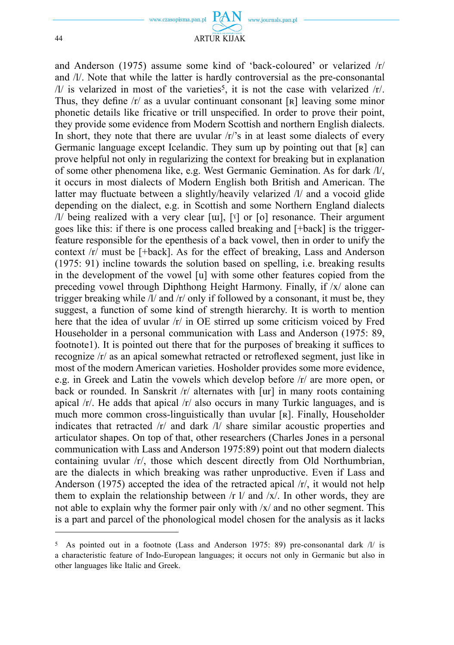

#### 44 ARTUR KIJAK

www.czasopisma.pan.pl

and Anderson (1975) assume some kind of 'back-coloured' or velarized  $/r/$ and //. Note that while the latter is hardly controversial as the pre-consonantal  $/1/$  is velarized in most of the varieties<sup>5</sup>, it is not the case with velarized  $/r/$ . Thus, they define  $|r|$  as a uvular continuant consonant [R] leaving some minor phonetic details like fricative or trill unspecified. In order to prove their point, they provide some evidence from Modern Scottish and northern English dialects. In short, they note that there are uvular  $\langle r \rangle$ 's in at least some dialects of every Germanic language except Icelandic. They sum up by pointing out that [R] can prove helpful not only in regularizing the context for breaking but in explanation of some other phenomena like, e.g. West Germanic Gemination. As for dark //, it occurs in most dialects of Modern English both British and American. The latter may fluctuate between a slightly/heavily velarized /l/ and a vocoid glide depending on the dialect, e.g. in Scottish and some Northern England dialects // being realized with a very clear [ɯ], [ˠ] or [o] resonance. Their argument goes like this: if there is one process called breaking and [+back] is the triggerfeature responsible for the epenthesis of a back vowel, then in order to unify the context  $/r$  must be [+back]. As for the effect of breaking, Lass and Anderson (1975: 91) incline towards the solution based on spelling, i.e. breaking results in the development of the vowel [u] with some other features copied from the preceding vowel through Diphthong Height Harmony. Finally, if  $\frac{x}{x}$  alone can trigger breaking while  $\frac{1}{4}$  and  $\frac{1}{2}$  only if followed by a consonant, it must be, they suggest, a function of some kind of strength hierarchy. It is worth to mention here that the idea of uvular  $/r/$  in OE stirred up some criticism voiced by Fred Householder in a personal communication with Lass and Anderson (1975: 89, footnote1). It is pointed out there that for the purposes of breaking it suffices to recognize  $/r/d$  as an apical somewhat retracted or retroflexed segment, just like in most of the modern American varieties. Hosholder provides some more evidence, e.g. in Greek and Latin the vowels which develop before  $\pi$  are more open, or back or rounded. In Sanskrit  $/r/d$  alternates with [url in many roots containing apical  $/r/$ . He adds that apical  $/r/$  also occurs in many Turkic languages, and is much more common cross-linguistically than uvular [R]. Finally, Householder indicates that retracted  $/r/$  and dark  $/1/$  share similar acoustic properties and articulator shapes. On top of that, other researchers (Charles Jones in a personal communication with Lass and Anderson 1975:89) point out that modern dialects containing uvular  $/r/$ , those which descent directly from Old Northumbrian, are the dialects in which breaking was rather unproductive. Even if Lass and Anderson (1975) accepted the idea of the retracted apical  $/r/$ , it would not help them to explain the relationship between  $/r$  1/ and  $/x$ . In other words, they are not able to explain why the former pair only with  $\frac{x}{a}$  and no other segment. This is a part and parcel of the phonological model chosen for the analysis as it lacks

<sup>5</sup> As pointed out in a footnote (Lass and Anderson 1975: 89) pre-consonantal dark // is a characteristic feature of Indo-European languages; it occurs not only in Germanic but also in other languages like Italic and Greek.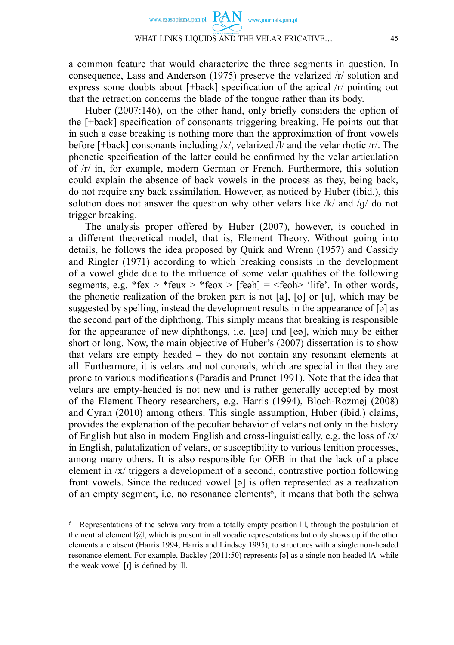www.journals.pan.pl

**PAN** 

www.czasopisma.pan.pl

a common feature that would characterize the three segments in question. In consequence, Lass and Anderson (1975) preserve the velarized  $/r/$  solution and express some doubts about  $[+back]$  specification of the apical  $/r/$  pointing out that the retraction concerns the blade of the tongue rather than its body.

Huber  $(2007.146)$ , on the other hand, only briefly considers the option of the [+back] specification of consonants triggering breaking. He points out that in such a case breaking is nothing more than the approximation of front vowels before [+back] consonants including  $/x/$ , velarized  $/1/$  and the velar rhotic  $/r/$ . The phonetic specification of the latter could be confirmed by the velar articulation of // in, for example, modern German or French. Furthermore, this solution could explain the absence of back vowels in the process as they, being back, do not require any back assimilation. However, as noticed by Huber (ibid.), this solution does not answer the question why other velars like  $/k/$  and  $/q/$  do not trigger breaking.

The analysis proper offered by Huber (2007), however, is couched in a different theoretical model, that is, Element Theory. Without going into details, he follows the idea proposed by Quirk and Wrenn (1957) and Cassidy and Ringler (1971) according to which breaking consists in the development of a vowel glide due to the influence of some velar qualities of the following segments, e.g.  $*$ fex  $>$   $*$ feux  $>$   $*$ feox  $>$  [feəh] =  $<$ feoh $>$  'life'. In other words, the phonetic realization of the broken part is not [a], [o] or [u], which may be suggested by spelling, instead the development results in the appearance of  $\lceil 5 \rceil$  as the second part of the diphthong. This simply means that breaking is responsible for the appearance of new diphthongs, i.e.  $[\infty]$  and  $[\infty]$ , which may be either short or long. Now, the main objective of Huber's (2007) dissertation is to show that velars are empty headed – they do not contain any resonant elements at all. Furthermore, it is velars and not coronals, which are special in that they are prone to various modifications (Paradis and Prunet 1991). Note that the idea that velars are empty-headed is not new and is rather generally accepted by most of the Element Theory researchers, e.g. Harris (1994), Bloch-Rozmej (2008) and Cyran (2010) among others. This single assumption, Huber (ibid.) claims, provides the explanation of the peculiar behavior of velars not only in the history of English but also in modern English and cross-linguistically, e.g. the loss of  $\frac{x}{x}$ in English, palatalization of velars, or susceptibility to various lenition processes, among many others. It is also responsible for OEB in that the lack of a place element in  $/x/$  triggers a development of a second, contrastive portion following front vowels. Since the reduced vowel  $[\circ]$  is often represented as a realization of an empty segment, i.e. no resonance elements6, it means that both the schwa

 $6\text{~Representations of the schwa vary from a totally empty position  $|\cdot|$ , through the postulation of$ the neutral element  $|Q_0|$ , which is present in all vocalic representations but only shows up if the other elements are absent (Harris 1994, Harris and Lindsey 1995), to structures with a single non-headed resonance element. For example, Backley  $(2011:50)$  represents [a] as a single non-headed  $|A|$  while the weak vowel  $[I]$  is defined by  $|I|$ .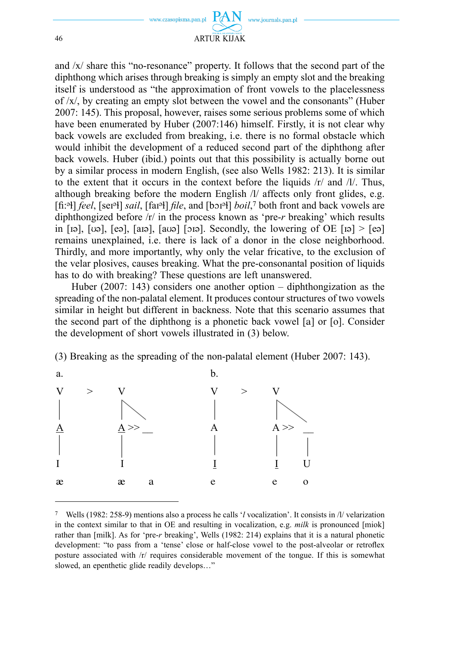

and  $\frac{x}{x}$  share this "no-resonance" property. It follows that the second part of the diphthong which arises through breaking is simply an empty slot and the breaking itself is understood as "the approximation of front vowels to the placelessness of  $\frac{x}{y}$ , by creating an empty slot between the vowel and the consonants" (Huber 2007: 145). This proposal, however, raises some serious problems some of which have been enumerated by Huber (2007:146) himself. Firstly, it is not clear why back vowels are excluded from breaking, i.e. there is no formal obstacle which would inhibit the development of a reduced second part of the diphthong after back vowels. Huber (ibid.) points out that this possibility is actually borne out by a similar process in modern English, (see also Wells 1982: 213). It is similar to the extent that it occurs in the context before the liquids  $/r/$  and  $/l/$ . Thus, although breaking before the modern English // affects only front glides, e.g. [fi:<sup>a</sup>] *feel*, [sei<sup>a</sup>] *sail*, [fai<sup>a</sup>] *file*, and [boi<sup>a</sup>] *boil*,<sup>7</sup> both front and back vowels are diphthongized before  $/r/$  in the process known as 'pre- $r$  breaking' which results in [ɪ], [], [e], [aɪ], [a] [ɪ]. Secondly, the lowering of OE [ɪ] > [e] remains unexplained, i.e. there is lack of a donor in the close neighborhood. Thirdly, and more importantly, why only the velar fricative, to the exclusion of the velar plosives, causes breaking. What the pre-consonantal position of liquids has to do with breaking? These questions are left unanswered.

Huber (2007: 143) considers one another option – diphthongization as the spreading of the non-palatal element. It produces contour structures of two vowels similar in height but different in backness. Note that this scenario assumes that the second part of the diphthong is a phonetic back vowel  $[a]$  or  $[o]$ . Consider the development of short vowels illustrated in (3) below.





<sup>7</sup> Wells (1982: 258-9) mentions also a process he calls '*l* vocalization'. It consists in /l/ velarization in the context similar to that in OE and resulting in vocalization, e.g. *milk* is pronounced [miok] rather than [milk]. As for 'pre-*r* breaking', Wells (1982: 214) explains that it is a natural phonetic development: "to pass from a 'tense' close or half-close vowel to the post-alveolar or retroflex posture associated with /r/ requires considerable movement of the tongue. If this is somewhat slowed, an epenthetic glide readily develops…"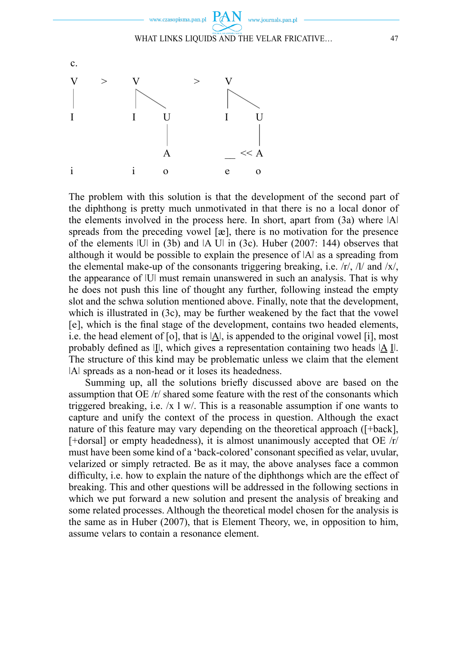

The problem with this solution is that the development of the second part of the diphthong is pretty much unmotivated in that there is no a local donor of the elements involved in the process here. In short, apart from (3a) where ǀAǀ spreads from the preceding vowel  $[\alpha]$ , there is no motivation for the presence of the elements ǀUǀ in (3b) and ǀA Uǀ in (3c). Huber (2007: 144) observes that although it would be possible to explain the presence of ǀAǀ as a spreading from the elemental make-up of the consonants triggering breaking, i.e.  $/r/$ ,  $/l/$  and  $/x/$ , the appearance of  $|U|$  must remain unanswered in such an analysis. That is why he does not push this line of thought any further, following instead the empty slot and the schwa solution mentioned above. Finally, note that the development, which is illustrated in (3c), may be further weakened by the fact that the vowel [e], which is the final stage of the development, contains two headed elements, i.e. the head element of  $[0]$ , that is  $|A|$ , is appended to the original vowel  $[i]$ , most probably defined as  $|I|$ , which gives a representation containing two heads  $|A|I|$ . The structure of this kind may be problematic unless we claim that the element ǀAǀ spreads as a non-head or it loses its headedness.

www.journals.pan.pl

Summing up, all the solutions briefly discussed above are based on the assumption that  $OE / r/$  shared some feature with the rest of the consonants which triggered breaking, i.e.  $/x \, 1 \, \text{w}$ . This is a reasonable assumption if one wants to capture and unify the context of the process in question. Although the exact nature of this feature may vary depending on the theoretical approach ([+back], [+dorsal] or empty headedness), it is almost unanimously accepted that  $OE/r/$ must have been some kind of a 'back-colored' consonant specified as velar, uvular, velarized or simply retracted. Be as it may, the above analyses face a common difficulty, i.e. how to explain the nature of the diphthongs which are the effect of breaking. This and other questions will be addressed in the following sections in which we put forward a new solution and present the analysis of breaking and some related processes. Although the theoretical model chosen for the analysis is the same as in Huber (2007), that is Element Theory, we, in opposition to him, assume velars to contain a resonance element.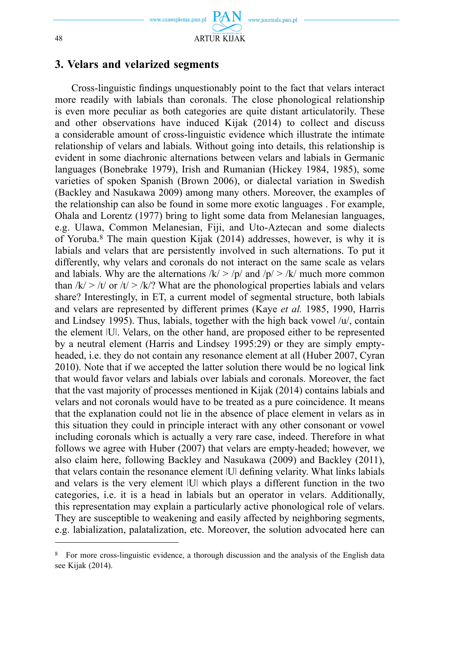# **3. Velars and velarized segments**

www.czasopisma.pan.p

Cross-linguistic findings unquestionably point to the fact that velars interact more readily with labials than coronals. The close phonological relationship is even more peculiar as both categories are quite distant articulatorily. These and other observations have induced Kijak (2014) to collect and discuss a considerable amount of cross-linguistic evidence which illustrate the intimate relationship of velars and labials. Without going into details, this relationship is evident in some diachronic alternations between velars and labials in Germanic languages (Bonebrake 1979), Irish and Rumanian (Hickey 1984, 1985), some varieties of spoken Spanish (Brown 2006), or dialectal variation in Swedish (Backley and Nasukawa 2009) among many others. Moreover, the examples of the relationship can also be found in some more exotic languages . For example, Ohala and Lorentz (1977) bring to light some data from Melanesian languages, e.g. Ulawa, Common Melanesian, Fiji, and Uto-Aztecan and some dialects of Yoruba.8 The main question Kijak (2014) addresses, however, is why it is labials and velars that are persistently involved in such alternations. To put it differently, why velars and coronals do not interact on the same scale as velars and labials. Why are the alternations  $/k$  > /p/ and /p/ > /k/ much more common than  $/k$  > /t/ or /t/ > /k/? What are the phonological properties labials and velars share? Interestingly, in ET, a current model of segmental structure, both labials and velars are represented by different primes (Kaye *et al.* 1985, 1990, Harris and Lindsey 1995). Thus, labials, together with the high back vowel  $/u'$ , contain the element ǀUǀ. Velars, on the other hand, are proposed either to be represented by a neutral element (Harris and Lindsey 1995:29) or they are simply emptyheaded, i.e. they do not contain any resonance element at all (Huber 2007, Cyran 2010). Note that if we accepted the latter solution there would be no logical link that would favor velars and labials over labials and coronals. Moreover, the fact that the vast majority of processes mentioned in Kijak (2014) contains labials and velars and not coronals would have to be treated as a pure coincidence. It means that the explanation could not lie in the absence of place element in velars as in this situation they could in principle interact with any other consonant or vowel including coronals which is actually a very rare case, indeed. Therefore in what follows we agree with Huber (2007) that velars are empty-headed; however, we also claim here, following Backley and Nasukawa (2009) and Backley (2011), that velars contain the resonance element |U| defining velarity. What links labials and velars is the very element |U| which plays a different function in the two categories, i.e. it is a head in labials but an operator in velars. Additionally, this representation may explain a particularly active phonological role of velars. They are susceptible to weakening and easily affected by neighboring segments, e.g. labialization, palatalization, etc. Moreover, the solution advocated here can

<sup>8</sup> For more cross-linguistic evidence, a thorough discussion and the analysis of the English data see Kijak (2014).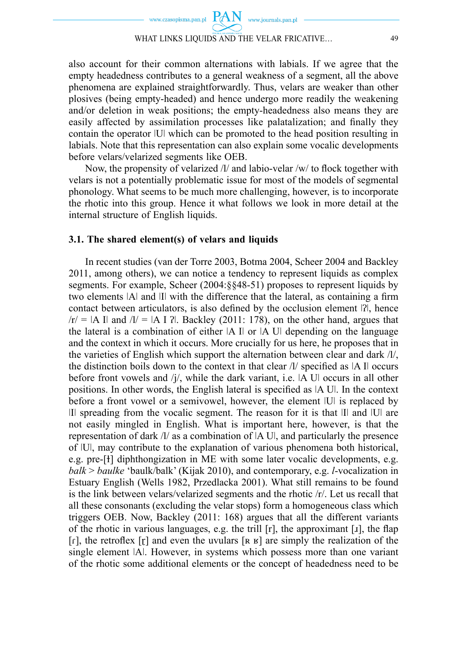

also account for their common alternations with labials. If we agree that the empty headedness contributes to a general weakness of a segment, all the above phenomena are explained straightforwardly. Thus, velars are weaker than other plosives (being empty-headed) and hence undergo more readily the weakening and/or deletion in weak positions; the empty-headedness also means they are easily affected by assimilation processes like palatalization; and finally they contain the operator ǀUǀ which can be promoted to the head position resulting in labials. Note that this representation can also explain some vocalic developments before velars/velarized segments like OEB.

Now, the propensity of velarized  $\frac{1}{4}$  and labio-velar  $\frac{1}{w}$  to flock together with velars is not a potentially problematic issue for most of the models of segmental phonology. What seems to be much more challenging, however, is to incorporate the rhotic into this group. Hence it what follows we look in more detail at the internal structure of English liquids.

### **3.1. The shared element(s) of velars and liquids**

In recent studies (van der Torre 2003, Botma 2004, Scheer 2004 and Backley 2011, among others), we can notice a tendency to represent liquids as complex segments. For example, Scheer (2004:§§48-51) proposes to represent liquids by two elements  $|A|$  and  $|I|$  with the difference that the lateral, as containing a firm contact between articulators, is also defined by the occlusion element  $|2|$ , hence  $/$ r $/$  =  $|$ A I $|$  and  $/$  =  $|$ A I $|$ ?. Backley (2011: 178), on the other hand, argues that the lateral is a combination of either  $|A \, I|$  or  $|A \, U|$  depending on the language and the context in which it occurs. More crucially for us here, he proposes that in the varieties of English which support the alternation between clear and dark //, the distinction boils down to the context in that clear  $\Lambda$  specified as  $\vert A \vert \vert$  occurs before front vowels and  $j/$ , while the dark variant, i.e.  $|A \, U|$  occurs in all other positions. In other words, the English lateral is specified as  $|A \cup I|$ . In the context before a front vowel or a semivowel, however, the element  $|U|$  is replaced by ǀIǀ spreading from the vocalic segment. The reason for it is that ǀIǀ and ǀUǀ are not easily mingled in English. What is important here, however, is that the representation of dark // as a combination of ǀA Uǀ, and particularly the presence of ǀUǀ, may contribute to the explanation of various phenomena both historical, e.g. pre-[†] diphthongization in ME with some later vocalic developments, e.g. *balk* > *baulke* 'baulk/balk' (Kijak 2010), and contemporary, e.g. *l*-vocalization in Estuary English (Wells 1982, Przedlacka 2001). What still remains to be found is the link between velars/velarized segments and the rhotic  $/r/$ . Let us recall that all these consonants (excluding the velar stops) form a homogeneous class which triggers OEB. Now, Backley (2011: 168) argues that all the different variants of the rhotic in various languages, e.g. the trill  $[r]$ , the approximant  $[I]$ , the flap  $[r]$ , the retroflex  $[r]$  and even the uvulars  $[x \, y]$  are simply the realization of the single element  $|A|$ . However, in systems which possess more than one variant of the rhotic some additional elements or the concept of headedness need to be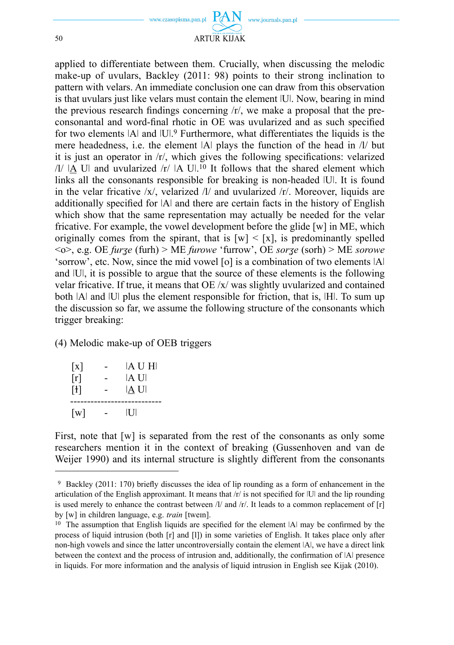

applied to differentiate between them. Crucially, when discussing the melodic make-up of uvulars, Backley (2011: 98) points to their strong inclination to pattern with velars. An immediate conclusion one can draw from this observation is that uvulars just like velars must contain the element |U|. Now, bearing in mind the previous research findings concerning  $/r/$ , we make a proposal that the preconsonantal and word-final rhotic in OE was uvularized and as such specified for two elements |A| and |U|.<sup>9</sup> Furthermore, what differentiates the liquids is the mere headedness, i.e. the element |A| plays the function of the head in /l/ but it is just an operator in  $/r/$ , which gives the following specifications: velarized  $/$  | $\Lambda$  U| and uvularized  $/$ r $/$  | $\Lambda$  U|.<sup>10</sup> It follows that the shared element which links all the consonants responsible for breaking is non-headed  $|U|$ . It is found in the velar fricative  $/x/$ , velarized  $/1/$  and uvularized  $/r/$ . Moreover, liquids are additionally specified for |A| and there are certain facts in the history of English which show that the same representation may actually be needed for the velar fricative. For example, the vowel development before the glide  $[w]$  in ME, which originally comes from the spirant, that is  $[w] < [x]$ , is predominantly spelled <o>, e.g. OE *furʓe* (furh) > ME *furowe* 'furrow', OE *sorʓe* (sorh) > ME *sorowe* 'sorrow', etc. Now, since the mid vowel [o] is a combination of two elements  $|A|$ and  $|U|$ , it is possible to argue that the source of these elements is the following velar fricative. If true, it means that  $OE / x /$  was slightly uvularized and contained both  $|A|$  and  $|U|$  plus the element responsible for friction, that is,  $|H|$ . To sum up the discussion so far, we assume the following structure of the consonants which trigger breaking:

(4) Melodic make-up of OEB triggers

| [x]               | IA U HI |
|-------------------|---------|
| $\lceil r \rceil$ | IA UI   |
| $\lceil 1 \rceil$ | IA UI   |
| [w]               | IН      |

First, note that  $[w]$  is separated from the rest of the consonants as only some researchers mention it in the context of breaking (Gussenhoven and van de Weijer 1990) and its internal structure is slightly different from the consonants

<sup>&</sup>lt;sup>9</sup> Backley (2011: 170) briefly discusses the idea of lip rounding as a form of enhancement in the articulation of the English approximant. It means that  $/r/$  is not specified for  $|U|$  and the lip rounding is used merely to enhance the contrast between  $\frac{1}{a}$  and  $\frac{1}{b}$ . It leads to a common replacement of  $\lceil \frac{1}{b} \rceil$ by [w] in children language, e.g. *train* [twem].

 $10$  The assumption that English liquids are specified for the element  $|A|$  may be confirmed by the process of liquid intrusion (both  $[r]$  and  $[1]$ ) in some varieties of English. It takes place only after non-high vowels and since the latter uncontroversially contain the element  $|A|$ , we have a direct link between the context and the process of intrusion and, additionally, the confirmation of  $|A|$  presence in liquids. For more information and the analysis of liquid intrusion in English see Kijak (2010).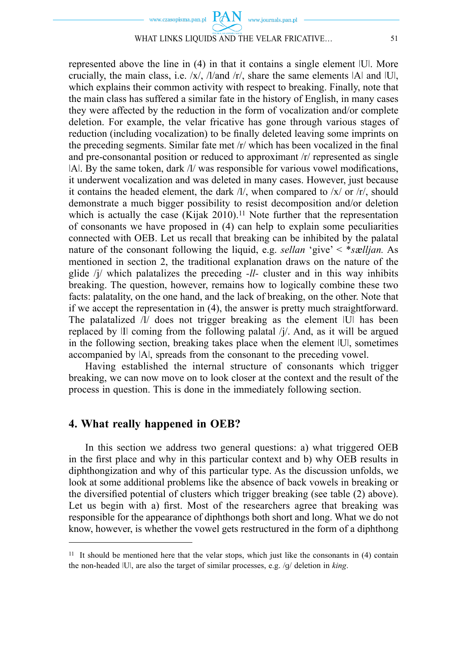

#### WHAT LINKS LIQUIDS AND THE VELAR FRICATIVE… 51

represented above the line in (4) in that it contains a single element  $|U|$ . More crucially, the main class, i.e.  $/x/$ ,  $/1$ /and  $/r/$ , share the same elements  $|A|$  and  $|U|$ , which explains their common activity with respect to breaking. Finally, note that the main class has suffered a similar fate in the history of English, in many cases they were affected by the reduction in the form of vocalization and/or complete deletion. For example, the velar fricative has gone through various stages of reduction (including vocalization) to be finally deleted leaving some imprints on the preceding segments. Similar fate met  $\frac{r}{r}$  which has been vocalized in the final and pre-consonantal position or reduced to approximant  $\frac{r}{r}$  represented as single  $|A|$ . By the same token, dark  $\frac{1}{\sqrt{2}}$  was responsible for various vowel modifications, it underwent vocalization and was deleted in many cases. However, just because it contains the headed element, the dark  $/V$ , when compared to  $/x/$  or  $/r/$ , should demonstrate a much bigger possibility to resist decomposition and/or deletion which is actually the case  $(Kijk 2010)$ .<sup>11</sup> Note further that the representation of consonants we have proposed in (4) can help to explain some peculiarities connected with OEB. Let us recall that breaking can be inhibited by the palatal nature of the consonant following the liquid, e.g. *sellan* 'give' < \**s*æ*lljan.* As mentioned in section 2, the traditional explanation draws on the nature of the glide  $\pi/$  which palatalizes the preceding  $-ll$ - cluster and in this way inhibits breaking. The question, however, remains how to logically combine these two facts: palatality, on the one hand, and the lack of breaking, on the other. Note that if we accept the representation in (4), the answer is pretty much straightforward. The palatalized  $\frac{1}{4}$  does not trigger breaking as the element  $|U|$  has been replaced by  $|I|$  coming from the following palatal  $|I|$ . And, as it will be argued in the following section, breaking takes place when the element ǀUǀ, sometimes accompanied by ǀAǀ, spreads from the consonant to the preceding vowel.

Having established the internal structure of consonants which trigger breaking, we can now move on to look closer at the context and the result of the process in question. This is done in the immediately following section.

### **4. What really happened in OEB?**

In this section we address two general questions: a) what triggered OEB in the first place and why in this particular context and b) why OEB results in diphthongization and why of this particular type. As the discussion unfolds, we look at some additional problems like the absence of back vowels in breaking or the diversified potential of clusters which trigger breaking (see table (2) above). Let us begin with a) first. Most of the researchers agree that breaking was responsible for the appearance of diphthongs both short and long. What we do not know, however, is whether the vowel gets restructured in the form of a diphthong

<sup>11</sup> It should be mentioned here that the velar stops, which just like the consonants in (4) contain the non-headed  $|U|$ , are also the target of similar processes, e.g. /q/ deletion in *king*.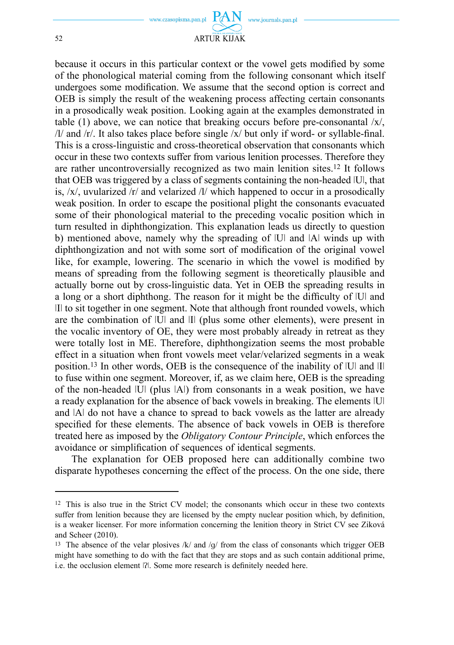www.journals.pan.pl

# 52 ARTUR KIJAK

www.czasopisma.pan.pl

because it occurs in this particular context or the vowel gets modified by some of the phonological material coming from the following consonant which itself undergoes some modification. We assume that the second option is correct and OEB is simply the result of the weakening process affecting certain consonants in a prosodically weak position. Looking again at the examples demonstrated in table  $(1)$  above, we can notice that breaking occurs before pre-consonantal  $/x/$ ,  $/1/$  and  $/r/$ . It also takes place before single  $/x/$  but only if word- or syllable-final. This is a cross-linguistic and cross-theoretical observation that consonants which occur in these two contexts suffer from various lenition processes. Therefore they are rather uncontroversially recognized as two main lenition sites.12 It follows that OEB was triggered by a class of segments containing the non-headed ǀUǀ, that is,  $/x/$ , uvularized  $/r/$  and velarized  $/1/$  which happened to occur in a prosodically weak position. In order to escape the positional plight the consonants evacuated some of their phonological material to the preceding vocalic position which in turn resulted in diphthongization. This explanation leads us directly to question b) mentioned above, namely why the spreading of  $|U|$  and  $|A|$  winds up with diphthongization and not with some sort of modification of the original vowel like, for example, lowering. The scenario in which the vowel is modified by means of spreading from the following segment is theoretically plausible and actually borne out by cross-linguistic data. Yet in OEB the spreading results in a long or a short diphthong. The reason for it might be the difficulty of  $|U|$  and ǀIǀ to sit together in one segment. Note that although front rounded vowels, which are the combination of ǀUǀ and ǀIǀ (plus some other elements), were present in the vocalic inventory of OE, they were most probably already in retreat as they were totally lost in ME. Therefore, diphthongization seems the most probable effect in a situation when front vowels meet velar/velarized segments in a weak position.<sup>13</sup> In other words, OEB is the consequence of the inability of  $|U|$  and  $|I|$ to fuse within one segment. Moreover, if, as we claim here, OEB is the spreading of the non-headed ǀUǀ (plus ǀAǀ) from consonants in a weak position, we have a ready explanation for the absence of back vowels in breaking. The elements  $|U|$ and |A| do not have a chance to spread to back vowels as the latter are already specified for these elements. The absence of back vowels in OEB is therefore treated here as imposed by the *Obligatory Contour Principle*, which enforces the avoidance or simplification of sequences of identical segments.

The explanation for OEB proposed here can additionally combine two disparate hypotheses concerning the effect of the process. On the one side, there

<sup>12</sup> This is also true in the Strict CV model; the consonants which occur in these two contexts suffer from lenition because they are licensed by the empty nuclear position which, by definition, is a weaker licenser. For more information concerning the lenition theory in Strict CV see Ziková and Scheer (2010).

<sup>&</sup>lt;sup>13</sup> The absence of the velar plosives  $/k/$  and  $/q/$  from the class of consonants which trigger OEB might have something to do with the fact that they are stops and as such contain additional prime, i.e. the occlusion element  $|2|$ . Some more research is definitely needed here.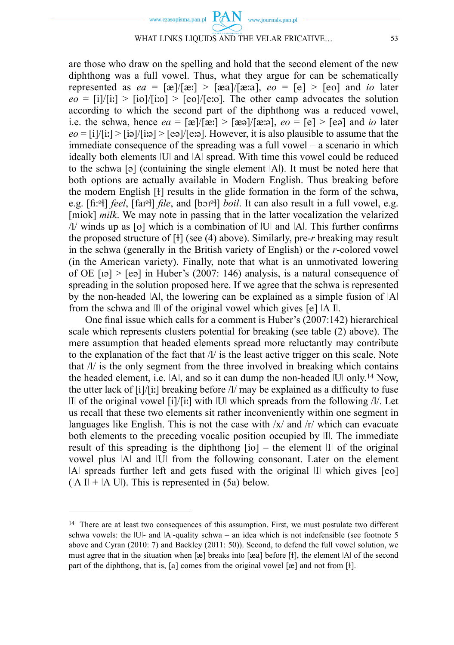#### WHAT LINKS LIQUIDS AND THE VELAR FRICATIVE... 53

www.czasopisma.pan.pl

are those who draw on the spelling and hold that the second element of the new diphthong was a full vowel. Thus, what they argue for can be schematically represented as  $ea = [\mathbf{\alpha}]/[\mathbf{\alpha}!] > [\mathbf{\alpha} \mathbf{\alpha}]/[\mathbf{\alpha} \mathbf{\alpha}]$ ,  $eo = [e] > [eo]$  and *io* later  $e_0 = [i]/[i] > [io]/[io] > [eo]/[eo]$ . The other camp advocates the solution according to which the second part of the diphthong was a reduced vowel, i.e. the schwa, hence  $ea = [\infty]/[\infty] > [\infty] / [\infty]$ ,  $eo = [e] > [e$  and *io* later  $e_0 = \frac{1}{|i|}$  >  $\frac{1}{|i|}$  >  $\frac{1}{|i|}$  >  $\frac{1}{|e_0|}$  = However, it is also plausible to assume that the immediate consequence of the spreading was a full vowel – a scenario in which ideally both elements  $|U|$  and  $|A|$  spread. With time this vowel could be reduced to the schwa  $\lceil \varphi \rceil$  (containing the single element  $\lceil A \rceil$ ). It must be noted here that both options are actually available in Modern English. Thus breaking before the modern English [1] results in the glide formation in the form of the schwa, e.g. [fi:<sup>a</sup>] *feel*, [faɪ<sup>a</sup>] *file*, and [bɔɪ<sup>a</sup>] *boil*. It can also result in a full vowel, e.g. [miok] *milk*. We may note in passing that in the latter vocalization the velarized  $/1$  winds up as  $\lceil o \rceil$  which is a combination of  $\lceil u \rceil$  and  $\lceil A \rceil$ . This further confirms the proposed structure of [1] (see (4) above). Similarly, pre-*r* breaking may result in the schwa (generally in the British variety of English) or the *r*-colored vowel (in the American variety). Finally, note that what is an unmotivated lowering of OE  $[a]$  >  $[ea]$  in Huber's (2007: 146) analysis, is a natural consequence of spreading in the solution proposed here. If we agree that the schwa is represented by the non-headed  $|A|$ , the lowering can be explained as a simple fusion of  $|A|$ from the schwa and  $\text{II}$  of the original vowel which gives  $\text{[e]}$   $\text{A}$  I $\text{I}$ .

One final issue which calls for a comment is Huber's  $(2007.142)$  hierarchical scale which represents clusters potential for breaking (see table (2) above). The mere assumption that headed elements spread more reluctantly may contribute to the explanation of the fact that  $\frac{1}{1}$  is the least active trigger on this scale. Note that // is the only segment from the three involved in breaking which contains the headed element, i.e. ǀAǀ, and so it can dump the non-headed ǀUǀ only.14 Now, the utter lack of  $[i]/[i]$  breaking before  $\Lambda$  may be explained as a difficulty to fuse  $|I|$  of the original vowel  $[i]/[i!]$  with  $|U|$  which spreads from the following  $\Lambda$ . Let us recall that these two elements sit rather inconveniently within one segment in languages like English. This is not the case with  $\frac{x}{a}$  and  $\frac{r}{b}$  which can evacuate both elements to the preceding vocalic position occupied by  $|I|$ . The immediate result of this spreading is the diphthong  $[io]$  – the element  $|I|$  of the original vowel plus ǀAǀ and ǀUǀ from the following consonant. Later on the element  $|A|$  spreads further left and gets fused with the original  $|I|$  which gives  $[e0]$  $(|A I| + |A U|)$ . This is represented in (5a) below.

<sup>&</sup>lt;sup>14</sup> There are at least two consequences of this assumption. First, we must postulate two different schwa vowels: the  $|U|$ - and  $|A|$ -quality schwa – an idea which is not indefensible (see footnote 5 above and Cyran (2010: 7) and Backley (2011: 50)). Second, to defend the full vowel solution, we must agree that in the situation when  $[\alpha]$  breaks into  $[\alpha]$  before  $[1]$ , the element  $|A|$  of the second part of the diphthong, that is, [a] comes from the original vowel [ $\alpha$ ] and not from [1].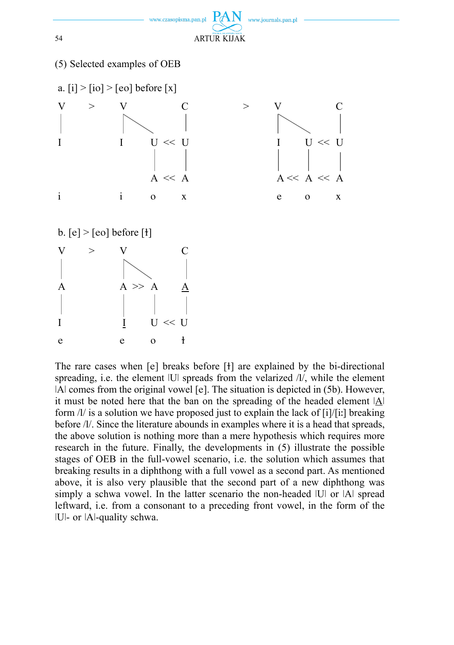

The rare cases when  $[e]$  breaks before  $[t]$  are explained by the bi-directional spreading, i.e. the element |U| spreads from the velarized  $\Lambda/$ , while the element |A| comes from the original vowel [e]. The situation is depicted in (5b). However, it must be noted here that the ban on the spreading of the headed element  $|\underline{A}|$ form  $\frac{1}{i}$  is a solution we have proposed just to explain the lack of [i]/[i:] breaking before //. Since the literature abounds in examples where it is a head that spreads, the above solution is nothing more than a mere hypothesis which requires more research in the future. Finally, the developments in (5) illustrate the possible stages of OEB in the full-vowel scenario, i.e. the solution which assumes that breaking results in a diphthong with a full vowel as a second part. As mentioned above, it is also very plausible that the second part of a new diphthong was simply a schwa vowel. In the latter scenario the non-headed |U| or |A| spread leftward, i.e. from a consonant to a preceding front vowel, in the form of the ǀUǀ- or ǀAǀ-quality schwa.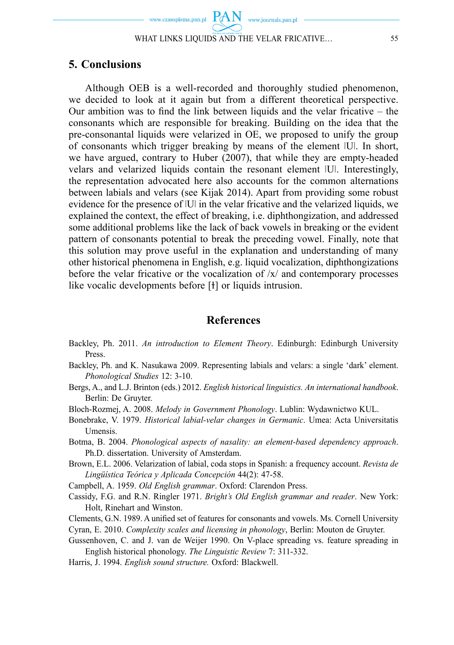WHAT LINKS LIQUIDS AND THE VELAR FRICATIVE... 55

www.czasopisma.pan.pl  $PAN$  www.journals.pan.pl

### **5. Conclusions**

Although OEB is a well-recorded and thoroughly studied phenomenon, we decided to look at it again but from a different theoretical perspective. Our ambition was to find the link between liquids and the velar fricative  $-$  the consonants which are responsible for breaking. Building on the idea that the pre-consonantal liquids were velarized in OE, we proposed to unify the group of consonants which trigger breaking by means of the element ǀUǀ. In short, we have argued, contrary to Huber (2007), that while they are empty-headed velars and velarized liquids contain the resonant element |U|. Interestingly, the representation advocated here also accounts for the common alternations between labials and velars (see Kijak 2014). Apart from providing some robust evidence for the presence of  $|U|$  in the velar fricative and the velarized liquids, we explained the context, the effect of breaking, i.e. diphthongization, and addressed some additional problems like the lack of back vowels in breaking or the evident pattern of consonants potential to break the preceding vowel. Finally, note that this solution may prove useful in the explanation and understanding of many other historical phenomena in English, e.g. liquid vocalization, diphthongizations before the velar fricative or the vocalization of  $\frac{x}{a}$  and contemporary processes like vocalic developments before [1] or liquids intrusion.

## **References**

- Backley, Ph. 2011. *An introduction to Element Theory*. Edinburgh: Edinburgh University Press.
- Backley, Ph. and K. Nasukawa 2009. Representing labials and velars: a single 'dark' element. *Phonological Studies* 12: 3-10.
- Bergs, A., and L.J. Brinton (eds.) 2012. *English historical linguistics. An international handbook*. Berlin: De Gruyter.
- Bloch-Rozmej, A. 2008. *Melody in Government Phonology*. Lublin: Wydawnictwo KUL.
- Bonebrake, V. 1979. *Historical labial-velar changes in Germanic*. Umea: Acta Universitatis Umensis.
- Botma, B. 2004. *Phonological aspects of nasality: an element-based dependency approach*. Ph.D. dissertation. University of Amsterdam.
- Brown, E.L. 2006. Velarization of labial, coda stops in Spanish: a frequency account. *Revista de Lingüística Teórica y Aplicada Concepción* 44(2): 47-58.
- Campbell, A. 1959. *Old English grammar*. Oxford: Clarendon Press.
- Cassidy, F.G. and R.N. Ringler 1971. *Bright's Old English grammar and reader*. New York: Holt, Rinehart and Winston.
- Clements, G.N. 1989. A unified set of features for consonants and vowels. Ms. Cornell University
- Cyran, E. 2010. *Complexity scales and licensing in phonology*, Berlin: Mouton de Gruyter.
- Gussenhoven, C. and J. van de Weijer 1990. On V-place spreading vs. feature spreading in English historical phonology. *The Linguistic Review* 7: 311-332.
- Harris, J. 1994. *English sound structure.* Oxford: Blackwell.